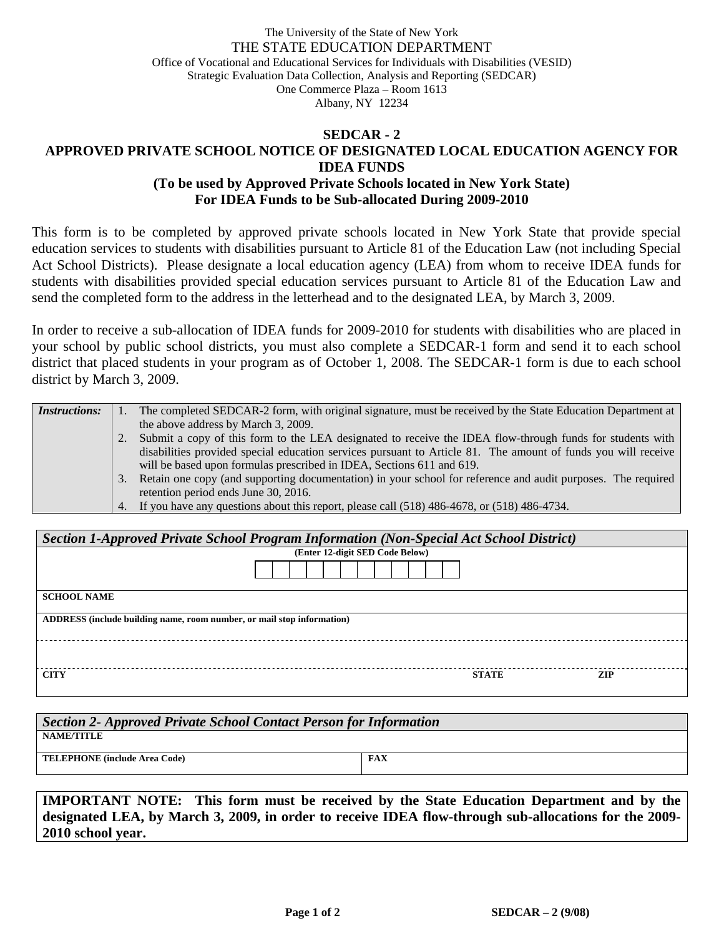## The University of the State of New York THE STATE EDUCATION DEPARTMENT Office of Vocational and Educational Services for Individuals with Disabilities (VESID) Strategic Evaluation Data Collection, Analysis and Reporting (SEDCAR) One Commerce Plaza – Room 1613 Albany, NY 12234

## **SEDCAR - 2 APPROVED PRIVATE SCHOOL NOTICE OF DESIGNATED LOCAL EDUCATION AGENCY FOR IDEA FUNDS (To be used by Approved Private Schools located in New York State) For IDEA Funds to be Sub-allocated During 2009-2010**

This form is to be completed by approved private schools located in New York State that provide special education services to students with disabilities pursuant to Article 81 of the Education Law (not including Special Act School Districts). Please designate a local education agency (LEA) from whom to receive IDEA funds for students with disabilities provided special education services pursuant to Article 81 of the Education Law and send the completed form to the address in the letterhead and to the designated LEA, by March 3, 2009.

In order to receive a sub-allocation of IDEA funds for 2009-2010 for students with disabilities who are placed in your school by public school districts, you must also complete a SEDCAR-1 form and send it to each school district that placed students in your program as of October 1, 2008. The SEDCAR-1 form is due to each school district by March 3, 2009.

| <i>Instructions:</i> |    | The completed SEDCAR-2 form, with original signature, must be received by the State Education Department at   |
|----------------------|----|---------------------------------------------------------------------------------------------------------------|
|                      |    | the above address by March 3, 2009.                                                                           |
|                      |    | Submit a copy of this form to the LEA designated to receive the IDEA flow-through funds for students with     |
|                      |    | disabilities provided special education services pursuant to Article 81. The amount of funds you will receive |
|                      |    | will be based upon formulas prescribed in IDEA, Sections 611 and 619.                                         |
|                      | 3. | Retain one copy (and supporting documentation) in your school for reference and audit purposes. The required  |
|                      |    | retention period ends June 30, 2016.                                                                          |
|                      |    | 4. If you have any questions about this report, please call (518) 486-4678, or (518) 486-4734.                |

| Section 1-Approved Private School Program Information (Non-Special Act School District) |                                 |  |  |  |  |  |  |  |
|-----------------------------------------------------------------------------------------|---------------------------------|--|--|--|--|--|--|--|
|                                                                                         | (Enter 12-digit SED Code Below) |  |  |  |  |  |  |  |
|                                                                                         |                                 |  |  |  |  |  |  |  |
| <b>SCHOOL NAME</b>                                                                      |                                 |  |  |  |  |  |  |  |
| ADDRESS (include building name, room number, or mail stop information)                  |                                 |  |  |  |  |  |  |  |
|                                                                                         |                                 |  |  |  |  |  |  |  |
| <b>CITY</b>                                                                             | <b>STATE</b><br><b>ZIP</b>      |  |  |  |  |  |  |  |

| Section 2- Approved Private School Contact Person for Information |     |  |  |  |  |  |
|-------------------------------------------------------------------|-----|--|--|--|--|--|
| <b>NAME/TITLE</b>                                                 |     |  |  |  |  |  |
| <b>TELEPHONE</b> (include Area Code)                              | FAX |  |  |  |  |  |
|                                                                   |     |  |  |  |  |  |

**IMPORTANT NOTE: This form must be received by the State Education Department and by the designated LEA, by March 3, 2009, in order to receive IDEA flow-through sub-allocations for the 2009- 2010 school year.**